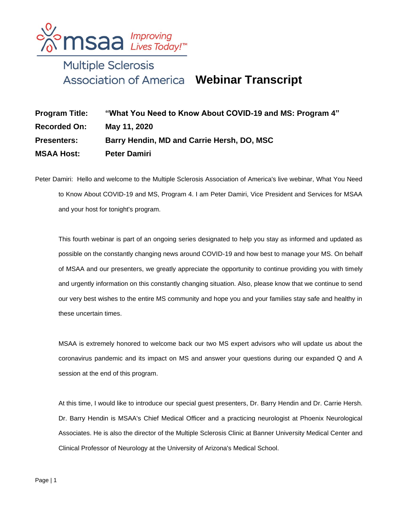

## Multiple Sclerosis **Webinar Transcript**

| <b>Program Title:</b> | "What You Need to Know About COVID-19 and MS: Program 4" |
|-----------------------|----------------------------------------------------------|
| <b>Recorded On:</b>   | May 11, 2020                                             |
| <b>Presenters:</b>    | Barry Hendin, MD and Carrie Hersh, DO, MSC               |
| <b>MSAA Host:</b>     | <b>Peter Damiri</b>                                      |

Peter Damiri: Hello and welcome to the Multiple Sclerosis Association of America's live webinar, What You Need to Know About COVID-19 and MS, Program 4. I am Peter Damiri, Vice President and Services for MSAA and your host for tonight's program.

This fourth webinar is part of an ongoing series designated to help you stay as informed and updated as possible on the constantly changing news around COVID-19 and how best to manage your MS. On behalf of MSAA and our presenters, we greatly appreciate the opportunity to continue providing you with timely and urgently information on this constantly changing situation. Also, please know that we continue to send our very best wishes to the entire MS community and hope you and your families stay safe and healthy in these uncertain times.

MSAA is extremely honored to welcome back our two MS expert advisors who will update us about the coronavirus pandemic and its impact on MS and answer your questions during our expanded Q and A session at the end of this program.

At this time, I would like to introduce our special guest presenters, Dr. Barry Hendin and Dr. Carrie Hersh. Dr. Barry Hendin is MSAA's Chief Medical Officer and a practicing neurologist at Phoenix Neurological Associates. He is also the director of the Multiple Sclerosis Clinic at Banner University Medical Center and Clinical Professor of Neurology at the University of Arizona's Medical School.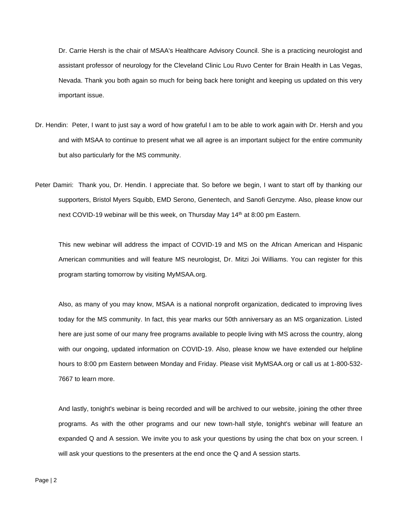Dr. Carrie Hersh is the chair of MSAA's Healthcare Advisory Council. She is a practicing neurologist and assistant professor of neurology for the Cleveland Clinic Lou Ruvo Center for Brain Health in Las Vegas, Nevada. Thank you both again so much for being back here tonight and keeping us updated on this very important issue.

- Dr. Hendin: Peter, I want to just say a word of how grateful I am to be able to work again with Dr. Hersh and you and with MSAA to continue to present what we all agree is an important subject for the entire community but also particularly for the MS community.
- Peter Damiri: Thank you, Dr. Hendin. I appreciate that. So before we begin, I want to start off by thanking our supporters, Bristol Myers Squibb, EMD Serono, Genentech, and Sanofi Genzyme. Also, please know our next COVID-19 webinar will be this week, on Thursday May 14<sup>th</sup> at 8:00 pm Eastern.

This new webinar will address the impact of COVID-19 and MS on the African American and Hispanic American communities and will feature MS neurologist, Dr. Mitzi Joi Williams. You can register for this program starting tomorrow by visiting MyMSAA.org.

Also, as many of you may know, MSAA is a national nonprofit organization, dedicated to improving lives today for the MS community. In fact, this year marks our 50th anniversary as an MS organization. Listed here are just some of our many free programs available to people living with MS across the country, along with our ongoing, updated information on COVID-19. Also, please know we have extended our helpline hours to 8:00 pm Eastern between Monday and Friday. Please visit MyMSAA.org or call us at 1-800-532- 7667 to learn more.

And lastly, tonight's webinar is being recorded and will be archived to our website, joining the other three programs. As with the other programs and our new town-hall style, tonight's webinar will feature an expanded Q and A session. We invite you to ask your questions by using the chat box on your screen. I will ask your questions to the presenters at the end once the Q and A session starts.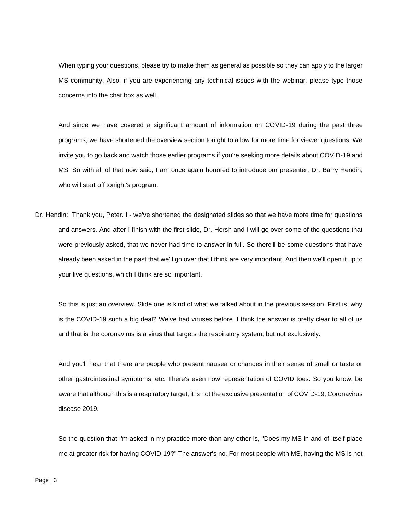When typing your questions, please try to make them as general as possible so they can apply to the larger MS community. Also, if you are experiencing any technical issues with the webinar, please type those concerns into the chat box as well.

And since we have covered a significant amount of information on COVID-19 during the past three programs, we have shortened the overview section tonight to allow for more time for viewer questions. We invite you to go back and watch those earlier programs if you're seeking more details about COVID-19 and MS. So with all of that now said, I am once again honored to introduce our presenter, Dr. Barry Hendin, who will start off tonight's program.

Dr. Hendin: Thank you, Peter. I - we've shortened the designated slides so that we have more time for questions and answers. And after I finish with the first slide, Dr. Hersh and I will go over some of the questions that were previously asked, that we never had time to answer in full. So there'll be some questions that have already been asked in the past that we'll go over that I think are very important. And then we'll open it up to your live questions, which I think are so important.

So this is just an overview. Slide one is kind of what we talked about in the previous session. First is, why is the COVID-19 such a big deal? We've had viruses before. I think the answer is pretty clear to all of us and that is the coronavirus is a virus that targets the respiratory system, but not exclusively.

And you'll hear that there are people who present nausea or changes in their sense of smell or taste or other gastrointestinal symptoms, etc. There's even now representation of COVID toes. So you know, be aware that although this is a respiratory target, it is not the exclusive presentation of COVID-19, Coronavirus disease 2019.

So the question that I'm asked in my practice more than any other is, "Does my MS in and of itself place me at greater risk for having COVID-19?" The answer's no. For most people with MS, having the MS is not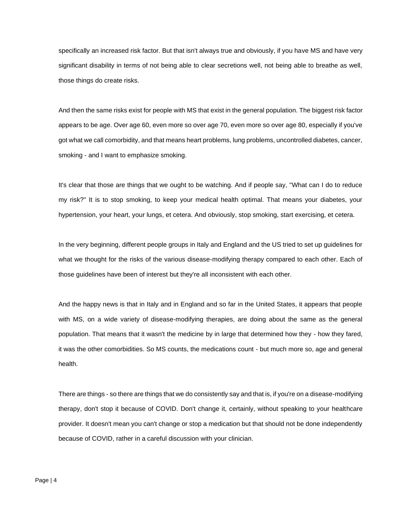specifically an increased risk factor. But that isn't always true and obviously, if you have MS and have very significant disability in terms of not being able to clear secretions well, not being able to breathe as well, those things do create risks.

And then the same risks exist for people with MS that exist in the general population. The biggest risk factor appears to be age. Over age 60, even more so over age 70, even more so over age 80, especially if you've got what we call comorbidity, and that means heart problems, lung problems, uncontrolled diabetes, cancer, smoking - and I want to emphasize smoking.

It's clear that those are things that we ought to be watching. And if people say, "What can I do to reduce my risk?" It is to stop smoking, to keep your medical health optimal. That means your diabetes, your hypertension, your heart, your lungs, et cetera. And obviously, stop smoking, start exercising, et cetera.

In the very beginning, different people groups in Italy and England and the US tried to set up guidelines for what we thought for the risks of the various disease-modifying therapy compared to each other. Each of those guidelines have been of interest but they're all inconsistent with each other.

And the happy news is that in Italy and in England and so far in the United States, it appears that people with MS, on a wide variety of disease-modifying therapies, are doing about the same as the general population. That means that it wasn't the medicine by in large that determined how they - how they fared, it was the other comorbidities. So MS counts, the medications count - but much more so, age and general health.

There are things - so there are things that we do consistently say and that is, if you're on a disease-modifying therapy, don't stop it because of COVID. Don't change it, certainly, without speaking to your healthcare provider. It doesn't mean you can't change or stop a medication but that should not be done independently because of COVID, rather in a careful discussion with your clinician.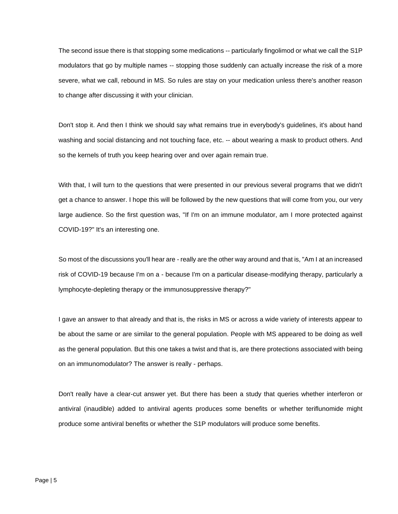The second issue there is that stopping some medications -- particularly fingolimod or what we call the S1P modulators that go by multiple names -- stopping those suddenly can actually increase the risk of a more severe, what we call, rebound in MS. So rules are stay on your medication unless there's another reason to change after discussing it with your clinician.

Don't stop it. And then I think we should say what remains true in everybody's guidelines, it's about hand washing and social distancing and not touching face, etc. -- about wearing a mask to product others. And so the kernels of truth you keep hearing over and over again remain true.

With that, I will turn to the questions that were presented in our previous several programs that we didn't get a chance to answer. I hope this will be followed by the new questions that will come from you, our very large audience. So the first question was, "If I'm on an immune modulator, am I more protected against COVID-19?" It's an interesting one.

So most of the discussions you'll hear are - really are the other way around and that is, "Am I at an increased risk of COVID-19 because I'm on a - because I'm on a particular disease-modifying therapy, particularly a lymphocyte-depleting therapy or the immunosuppressive therapy?"

I gave an answer to that already and that is, the risks in MS or across a wide variety of interests appear to be about the same or are similar to the general population. People with MS appeared to be doing as well as the general population. But this one takes a twist and that is, are there protections associated with being on an immunomodulator? The answer is really - perhaps.

Don't really have a clear-cut answer yet. But there has been a study that queries whether interferon or antiviral (inaudible) added to antiviral agents produces some benefits or whether teriflunomide might produce some antiviral benefits or whether the S1P modulators will produce some benefits.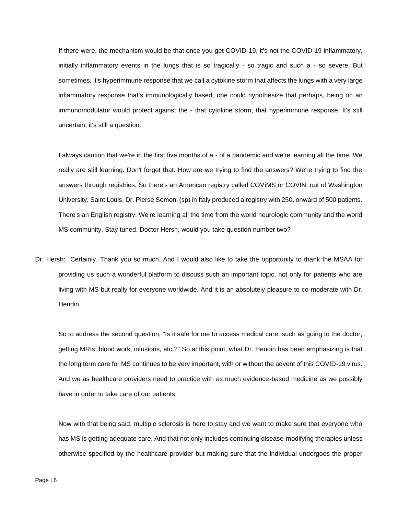If there were, the mechanism would be that once you get COVID-19, it's not the COVID-19 inflammatory, initially inflammatory events in the lungs that is so tragically - so tragic and such a - so severe. But sometimes, it's hyperimmune response that we call a cytokine storm that affects the lungs with a very large inflammatory response that's immunologically based, one could hypothesize that perhaps, being on an immunomodulator would protect against the - that cytokine storm, that hyperimmune response. It's still uncertain, it's still a question.

I always caution that we're in the first five months of a - of a pandemic and we're learning all the time. We really are still learning. Don't forget that. How are we trying to find the answers? We're trying to find the answers through registries. So there's an American registry called COViMS or COVIN, out of Washington University, Saint Louis, Dr. Pierse Somoni (sp) in Italy produced a registry with 250, onward of 500 patients. There's an English registry. We're learning all the time from the world neurologic community and the world MS community. Stay tuned. Doctor Hersh, would you take question number two?

Dr. Hersh: Certainly. Thank you so much. And I would also like to take the opportunity to thank the MSAA for providing us such a wonderful platform to discuss such an important topic, not only for patients who are living with MS but really for everyone worldwide. And it is an absolutely pleasure to co-moderate with Dr. Hendin.

So to address the second question, "Is it safe for me to access medical care, such as going to the doctor, getting MRIs, blood work, infusions, etc.?" So at this point, what Dr. Hendin has been emphasizing is that the long term care for MS continues to be very important, with or without the advent of this COVID-19 virus. And we as healthcare providers need to practice with as much evidence-based medicine as we possibly have in order to take care of our patients.

Now with that being said, multiple sclerosis is here to stay and we want to make sure that everyone who has MS is getting adequate care. And that not only includes continuing disease-modifying therapies unless otherwise specified by the healthcare provider but making sure that the individual undergoes the proper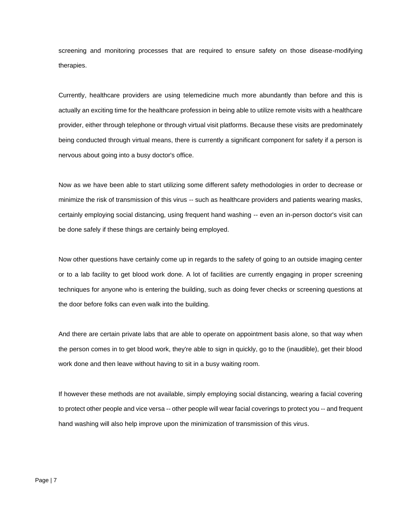screening and monitoring processes that are required to ensure safety on those disease-modifying therapies.

Currently, healthcare providers are using telemedicine much more abundantly than before and this is actually an exciting time for the healthcare profession in being able to utilize remote visits with a healthcare provider, either through telephone or through virtual visit platforms. Because these visits are predominately being conducted through virtual means, there is currently a significant component for safety if a person is nervous about going into a busy doctor's office.

Now as we have been able to start utilizing some different safety methodologies in order to decrease or minimize the risk of transmission of this virus -- such as healthcare providers and patients wearing masks, certainly employing social distancing, using frequent hand washing -- even an in-person doctor's visit can be done safely if these things are certainly being employed.

Now other questions have certainly come up in regards to the safety of going to an outside imaging center or to a lab facility to get blood work done. A lot of facilities are currently engaging in proper screening techniques for anyone who is entering the building, such as doing fever checks or screening questions at the door before folks can even walk into the building.

And there are certain private labs that are able to operate on appointment basis alone, so that way when the person comes in to get blood work, they're able to sign in quickly, go to the (inaudible), get their blood work done and then leave without having to sit in a busy waiting room.

If however these methods are not available, simply employing social distancing, wearing a facial covering to protect other people and vice versa -- other people will wear facial coverings to protect you -- and frequent hand washing will also help improve upon the minimization of transmission of this virus.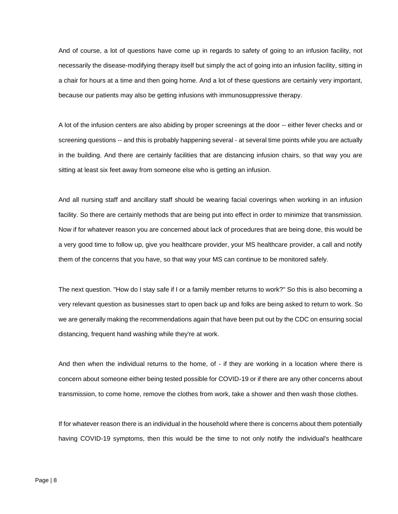And of course, a lot of questions have come up in regards to safety of going to an infusion facility, not necessarily the disease-modifying therapy itself but simply the act of going into an infusion facility, sitting in a chair for hours at a time and then going home. And a lot of these questions are certainly very important, because our patients may also be getting infusions with immunosuppressive therapy.

A lot of the infusion centers are also abiding by proper screenings at the door -- either fever checks and or screening questions -- and this is probably happening several - at several time points while you are actually in the building. And there are certainly facilities that are distancing infusion chairs, so that way you are sitting at least six feet away from someone else who is getting an infusion.

And all nursing staff and ancillary staff should be wearing facial coverings when working in an infusion facility. So there are certainly methods that are being put into effect in order to minimize that transmission. Now if for whatever reason you are concerned about lack of procedures that are being done, this would be a very good time to follow up, give you healthcare provider, your MS healthcare provider, a call and notify them of the concerns that you have, so that way your MS can continue to be monitored safely.

The next question. "How do I stay safe if I or a family member returns to work?" So this is also becoming a very relevant question as businesses start to open back up and folks are being asked to return to work. So we are generally making the recommendations again that have been put out by the CDC on ensuring social distancing, frequent hand washing while they're at work.

And then when the individual returns to the home, of - if they are working in a location where there is concern about someone either being tested possible for COVID-19 or if there are any other concerns about transmission, to come home, remove the clothes from work, take a shower and then wash those clothes.

If for whatever reason there is an individual in the household where there is concerns about them potentially having COVID-19 symptoms, then this would be the time to not only notify the individual's healthcare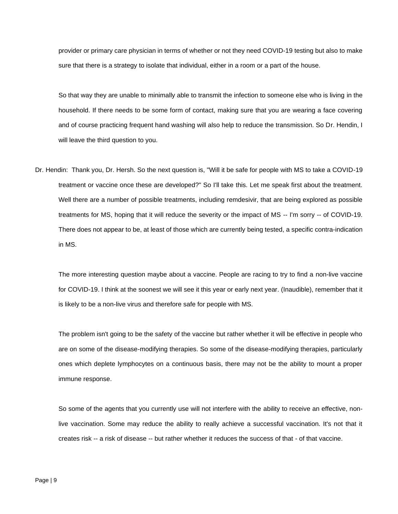provider or primary care physician in terms of whether or not they need COVID-19 testing but also to make sure that there is a strategy to isolate that individual, either in a room or a part of the house.

So that way they are unable to minimally able to transmit the infection to someone else who is living in the household. If there needs to be some form of contact, making sure that you are wearing a face covering and of course practicing frequent hand washing will also help to reduce the transmission. So Dr. Hendin, I will leave the third question to you.

Dr. Hendin: Thank you, Dr. Hersh. So the next question is, "Will it be safe for people with MS to take a COVID-19 treatment or vaccine once these are developed?" So I'll take this. Let me speak first about the treatment. Well there are a number of possible treatments, including remdesivir, that are being explored as possible treatments for MS, hoping that it will reduce the severity or the impact of MS -- I'm sorry -- of COVID-19. There does not appear to be, at least of those which are currently being tested, a specific contra-indication in MS.

The more interesting question maybe about a vaccine. People are racing to try to find a non-live vaccine for COVID-19. I think at the soonest we will see it this year or early next year. (Inaudible), remember that it is likely to be a non-live virus and therefore safe for people with MS.

The problem isn't going to be the safety of the vaccine but rather whether it will be effective in people who are on some of the disease-modifying therapies. So some of the disease-modifying therapies, particularly ones which deplete lymphocytes on a continuous basis, there may not be the ability to mount a proper immune response.

So some of the agents that you currently use will not interfere with the ability to receive an effective, nonlive vaccination. Some may reduce the ability to really achieve a successful vaccination. It's not that it creates risk -- a risk of disease -- but rather whether it reduces the success of that - of that vaccine.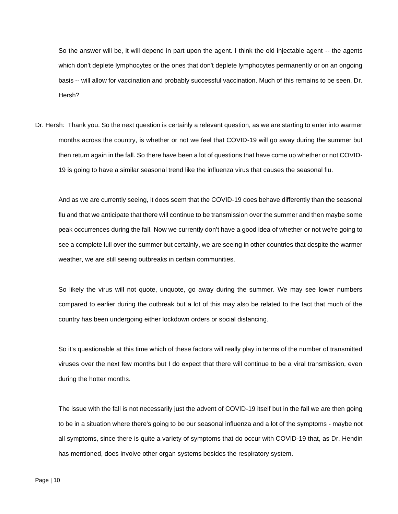So the answer will be, it will depend in part upon the agent. I think the old injectable agent -- the agents which don't deplete lymphocytes or the ones that don't deplete lymphocytes permanently or on an ongoing basis -- will allow for vaccination and probably successful vaccination. Much of this remains to be seen. Dr. Hersh?

Dr. Hersh: Thank you. So the next question is certainly a relevant question, as we are starting to enter into warmer months across the country, is whether or not we feel that COVID-19 will go away during the summer but then return again in the fall. So there have been a lot of questions that have come up whether or not COVID-19 is going to have a similar seasonal trend like the influenza virus that causes the seasonal flu.

And as we are currently seeing, it does seem that the COVID-19 does behave differently than the seasonal flu and that we anticipate that there will continue to be transmission over the summer and then maybe some peak occurrences during the fall. Now we currently don't have a good idea of whether or not we're going to see a complete lull over the summer but certainly, we are seeing in other countries that despite the warmer weather, we are still seeing outbreaks in certain communities.

So likely the virus will not quote, unquote, go away during the summer. We may see lower numbers compared to earlier during the outbreak but a lot of this may also be related to the fact that much of the country has been undergoing either lockdown orders or social distancing.

So it's questionable at this time which of these factors will really play in terms of the number of transmitted viruses over the next few months but I do expect that there will continue to be a viral transmission, even during the hotter months.

The issue with the fall is not necessarily just the advent of COVID-19 itself but in the fall we are then going to be in a situation where there's going to be our seasonal influenza and a lot of the symptoms - maybe not all symptoms, since there is quite a variety of symptoms that do occur with COVID-19 that, as Dr. Hendin has mentioned, does involve other organ systems besides the respiratory system.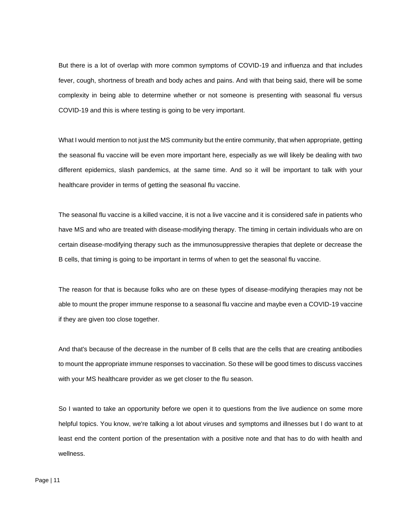But there is a lot of overlap with more common symptoms of COVID-19 and influenza and that includes fever, cough, shortness of breath and body aches and pains. And with that being said, there will be some complexity in being able to determine whether or not someone is presenting with seasonal flu versus COVID-19 and this is where testing is going to be very important.

What I would mention to not just the MS community but the entire community, that when appropriate, getting the seasonal flu vaccine will be even more important here, especially as we will likely be dealing with two different epidemics, slash pandemics, at the same time. And so it will be important to talk with your healthcare provider in terms of getting the seasonal flu vaccine.

The seasonal flu vaccine is a killed vaccine, it is not a live vaccine and it is considered safe in patients who have MS and who are treated with disease-modifying therapy. The timing in certain individuals who are on certain disease-modifying therapy such as the immunosuppressive therapies that deplete or decrease the B cells, that timing is going to be important in terms of when to get the seasonal flu vaccine.

The reason for that is because folks who are on these types of disease-modifying therapies may not be able to mount the proper immune response to a seasonal flu vaccine and maybe even a COVID-19 vaccine if they are given too close together.

And that's because of the decrease in the number of B cells that are the cells that are creating antibodies to mount the appropriate immune responses to vaccination. So these will be good times to discuss vaccines with your MS healthcare provider as we get closer to the flu season.

So I wanted to take an opportunity before we open it to questions from the live audience on some more helpful topics. You know, we're talking a lot about viruses and symptoms and illnesses but I do want to at least end the content portion of the presentation with a positive note and that has to do with health and wellness.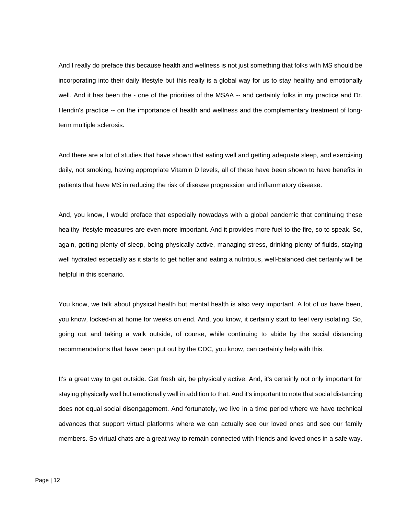And I really do preface this because health and wellness is not just something that folks with MS should be incorporating into their daily lifestyle but this really is a global way for us to stay healthy and emotionally well. And it has been the - one of the priorities of the MSAA -- and certainly folks in my practice and Dr. Hendin's practice -- on the importance of health and wellness and the complementary treatment of longterm multiple sclerosis.

And there are a lot of studies that have shown that eating well and getting adequate sleep, and exercising daily, not smoking, having appropriate Vitamin D levels, all of these have been shown to have benefits in patients that have MS in reducing the risk of disease progression and inflammatory disease.

And, you know, I would preface that especially nowadays with a global pandemic that continuing these healthy lifestyle measures are even more important. And it provides more fuel to the fire, so to speak. So, again, getting plenty of sleep, being physically active, managing stress, drinking plenty of fluids, staying well hydrated especially as it starts to get hotter and eating a nutritious, well-balanced diet certainly will be helpful in this scenario.

You know, we talk about physical health but mental health is also very important. A lot of us have been, you know, locked-in at home for weeks on end. And, you know, it certainly start to feel very isolating. So, going out and taking a walk outside, of course, while continuing to abide by the social distancing recommendations that have been put out by the CDC, you know, can certainly help with this.

It's a great way to get outside. Get fresh air, be physically active. And, it's certainly not only important for staying physically well but emotionally well in addition to that. And it's important to note that social distancing does not equal social disengagement. And fortunately, we live in a time period where we have technical advances that support virtual platforms where we can actually see our loved ones and see our family members. So virtual chats are a great way to remain connected with friends and loved ones in a safe way.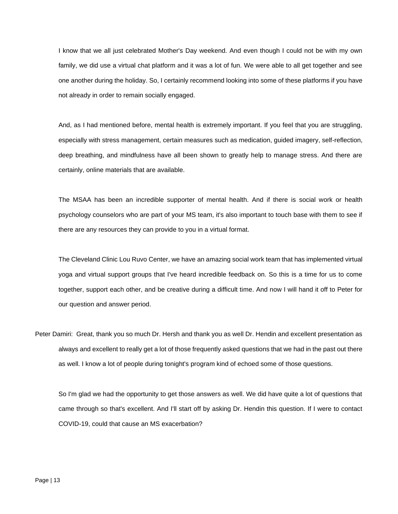I know that we all just celebrated Mother's Day weekend. And even though I could not be with my own family, we did use a virtual chat platform and it was a lot of fun. We were able to all get together and see one another during the holiday. So, I certainly recommend looking into some of these platforms if you have not already in order to remain socially engaged.

And, as I had mentioned before, mental health is extremely important. If you feel that you are struggling, especially with stress management, certain measures such as medication, guided imagery, self-reflection, deep breathing, and mindfulness have all been shown to greatly help to manage stress. And there are certainly, online materials that are available.

The MSAA has been an incredible supporter of mental health. And if there is social work or health psychology counselors who are part of your MS team, it's also important to touch base with them to see if there are any resources they can provide to you in a virtual format.

The Cleveland Clinic Lou Ruvo Center, we have an amazing social work team that has implemented virtual yoga and virtual support groups that I've heard incredible feedback on. So this is a time for us to come together, support each other, and be creative during a difficult time. And now I will hand it off to Peter for our question and answer period.

Peter Damiri: Great, thank you so much Dr. Hersh and thank you as well Dr. Hendin and excellent presentation as always and excellent to really get a lot of those frequently asked questions that we had in the past out there as well. I know a lot of people during tonight's program kind of echoed some of those questions.

So I'm glad we had the opportunity to get those answers as well. We did have quite a lot of questions that came through so that's excellent. And I'll start off by asking Dr. Hendin this question. If I were to contact COVID-19, could that cause an MS exacerbation?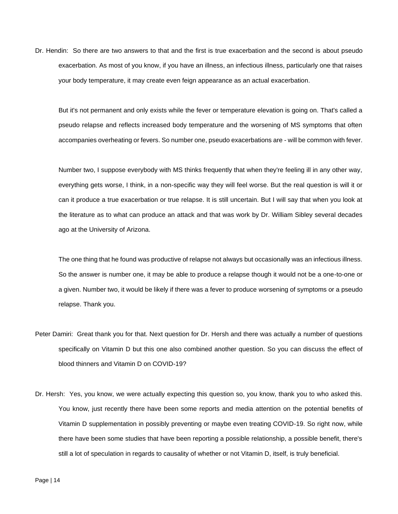Dr. Hendin: So there are two answers to that and the first is true exacerbation and the second is about pseudo exacerbation. As most of you know, if you have an illness, an infectious illness, particularly one that raises your body temperature, it may create even feign appearance as an actual exacerbation.

But it's not permanent and only exists while the fever or temperature elevation is going on. That's called a pseudo relapse and reflects increased body temperature and the worsening of MS symptoms that often accompanies overheating or fevers. So number one, pseudo exacerbations are - will be common with fever.

Number two, I suppose everybody with MS thinks frequently that when they're feeling ill in any other way, everything gets worse, I think, in a non-specific way they will feel worse. But the real question is will it or can it produce a true exacerbation or true relapse. It is still uncertain. But I will say that when you look at the literature as to what can produce an attack and that was work by Dr. William Sibley several decades ago at the University of Arizona.

The one thing that he found was productive of relapse not always but occasionally was an infectious illness. So the answer is number one, it may be able to produce a relapse though it would not be a one-to-one or a given. Number two, it would be likely if there was a fever to produce worsening of symptoms or a pseudo relapse. Thank you.

- Peter Damiri: Great thank you for that. Next question for Dr. Hersh and there was actually a number of questions specifically on Vitamin D but this one also combined another question. So you can discuss the effect of blood thinners and Vitamin D on COVID-19?
- Dr. Hersh: Yes, you know, we were actually expecting this question so, you know, thank you to who asked this. You know, just recently there have been some reports and media attention on the potential benefits of Vitamin D supplementation in possibly preventing or maybe even treating COVID-19. So right now, while there have been some studies that have been reporting a possible relationship, a possible benefit, there's still a lot of speculation in regards to causality of whether or not Vitamin D, itself, is truly beneficial.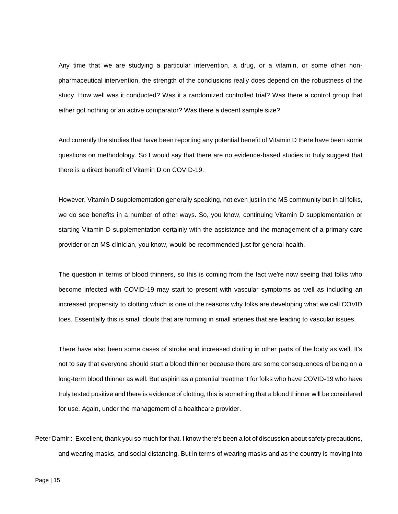Any time that we are studying a particular intervention, a drug, or a vitamin, or some other nonpharmaceutical intervention, the strength of the conclusions really does depend on the robustness of the study. How well was it conducted? Was it a randomized controlled trial? Was there a control group that either got nothing or an active comparator? Was there a decent sample size?

And currently the studies that have been reporting any potential benefit of Vitamin D there have been some questions on methodology. So I would say that there are no evidence-based studies to truly suggest that there is a direct benefit of Vitamin D on COVID-19.

However, Vitamin D supplementation generally speaking, not even just in the MS community but in all folks, we do see benefits in a number of other ways. So, you know, continuing Vitamin D supplementation or starting Vitamin D supplementation certainly with the assistance and the management of a primary care provider or an MS clinician, you know, would be recommended just for general health.

The question in terms of blood thinners, so this is coming from the fact we're now seeing that folks who become infected with COVID-19 may start to present with vascular symptoms as well as including an increased propensity to clotting which is one of the reasons why folks are developing what we call COVID toes. Essentially this is small clouts that are forming in small arteries that are leading to vascular issues.

There have also been some cases of stroke and increased clotting in other parts of the body as well. It's not to say that everyone should start a blood thinner because there are some consequences of being on a long-term blood thinner as well. But aspirin as a potential treatment for folks who have COVID-19 who have truly tested positive and there is evidence of clotting, this is something that a blood thinner will be considered for use. Again, under the management of a healthcare provider.

Peter Damiri: Excellent, thank you so much for that. I know there's been a lot of discussion about safety precautions, and wearing masks, and social distancing. But in terms of wearing masks and as the country is moving into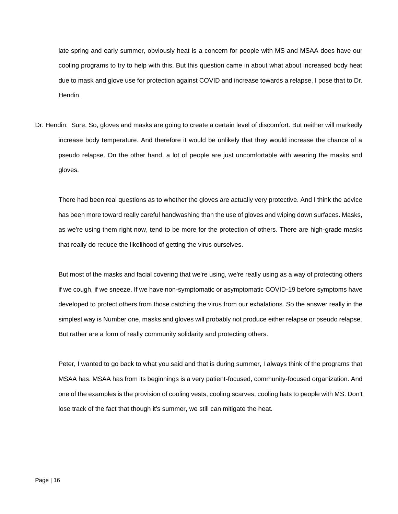late spring and early summer, obviously heat is a concern for people with MS and MSAA does have our cooling programs to try to help with this. But this question came in about what about increased body heat due to mask and glove use for protection against COVID and increase towards a relapse. I pose that to Dr. Hendin.

Dr. Hendin: Sure. So, gloves and masks are going to create a certain level of discomfort. But neither will markedly increase body temperature. And therefore it would be unlikely that they would increase the chance of a pseudo relapse. On the other hand, a lot of people are just uncomfortable with wearing the masks and gloves.

There had been real questions as to whether the gloves are actually very protective. And I think the advice has been more toward really careful handwashing than the use of gloves and wiping down surfaces. Masks, as we're using them right now, tend to be more for the protection of others. There are high-grade masks that really do reduce the likelihood of getting the virus ourselves.

But most of the masks and facial covering that we're using, we're really using as a way of protecting others if we cough, if we sneeze. If we have non-symptomatic or asymptomatic COVID-19 before symptoms have developed to protect others from those catching the virus from our exhalations. So the answer really in the simplest way is Number one, masks and gloves will probably not produce either relapse or pseudo relapse. But rather are a form of really community solidarity and protecting others.

Peter, I wanted to go back to what you said and that is during summer, I always think of the programs that MSAA has. MSAA has from its beginnings is a very patient-focused, community-focused organization. And one of the examples is the provision of cooling vests, cooling scarves, cooling hats to people with MS. Don't lose track of the fact that though it's summer, we still can mitigate the heat.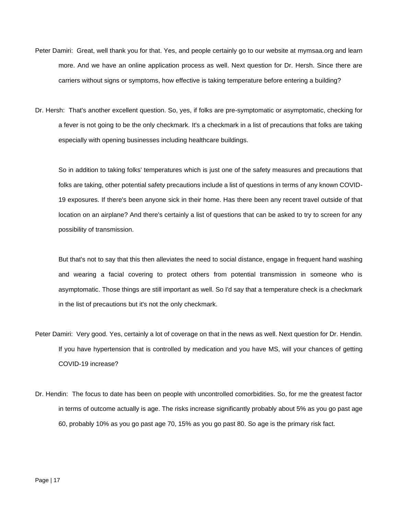- Peter Damiri: Great, well thank you for that. Yes, and people certainly go to our website at mymsaa.org and learn more. And we have an online application process as well. Next question for Dr. Hersh. Since there are carriers without signs or symptoms, how effective is taking temperature before entering a building?
- Dr. Hersh: That's another excellent question. So, yes, if folks are pre-symptomatic or asymptomatic, checking for a fever is not going to be the only checkmark. It's a checkmark in a list of precautions that folks are taking especially with opening businesses including healthcare buildings.

So in addition to taking folks' temperatures which is just one of the safety measures and precautions that folks are taking, other potential safety precautions include a list of questions in terms of any known COVID-19 exposures. If there's been anyone sick in their home. Has there been any recent travel outside of that location on an airplane? And there's certainly a list of questions that can be asked to try to screen for any possibility of transmission.

But that's not to say that this then alleviates the need to social distance, engage in frequent hand washing and wearing a facial covering to protect others from potential transmission in someone who is asymptomatic. Those things are still important as well. So I'd say that a temperature check is a checkmark in the list of precautions but it's not the only checkmark.

- Peter Damiri: Very good. Yes, certainly a lot of coverage on that in the news as well. Next question for Dr. Hendin. If you have hypertension that is controlled by medication and you have MS, will your chances of getting COVID-19 increase?
- Dr. Hendin: The focus to date has been on people with uncontrolled comorbidities. So, for me the greatest factor in terms of outcome actually is age. The risks increase significantly probably about 5% as you go past age 60, probably 10% as you go past age 70, 15% as you go past 80. So age is the primary risk fact.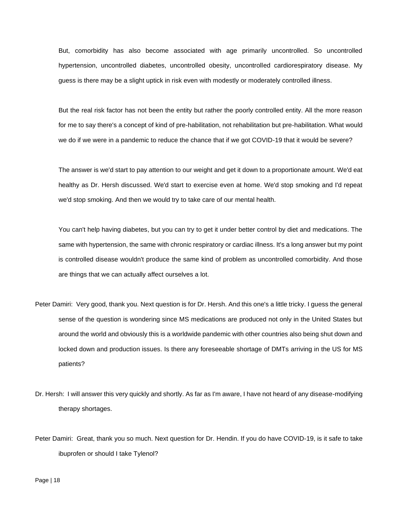But, comorbidity has also become associated with age primarily uncontrolled. So uncontrolled hypertension, uncontrolled diabetes, uncontrolled obesity, uncontrolled cardiorespiratory disease. My guess is there may be a slight uptick in risk even with modestly or moderately controlled illness.

But the real risk factor has not been the entity but rather the poorly controlled entity. All the more reason for me to say there's a concept of kind of pre-habilitation, not rehabilitation but pre-habilitation. What would we do if we were in a pandemic to reduce the chance that if we got COVID-19 that it would be severe?

The answer is we'd start to pay attention to our weight and get it down to a proportionate amount. We'd eat healthy as Dr. Hersh discussed. We'd start to exercise even at home. We'd stop smoking and I'd repeat we'd stop smoking. And then we would try to take care of our mental health.

You can't help having diabetes, but you can try to get it under better control by diet and medications. The same with hypertension, the same with chronic respiratory or cardiac illness. It's a long answer but my point is controlled disease wouldn't produce the same kind of problem as uncontrolled comorbidity. And those are things that we can actually affect ourselves a lot.

- Peter Damiri: Very good, thank you. Next question is for Dr. Hersh. And this one's a little tricky. I guess the general sense of the question is wondering since MS medications are produced not only in the United States but around the world and obviously this is a worldwide pandemic with other countries also being shut down and locked down and production issues. Is there any foreseeable shortage of DMTs arriving in the US for MS patients?
- Dr. Hersh: I will answer this very quickly and shortly. As far as I'm aware, I have not heard of any disease-modifying therapy shortages.
- Peter Damiri: Great, thank you so much. Next question for Dr. Hendin. If you do have COVID-19, is it safe to take ibuprofen or should I take Tylenol?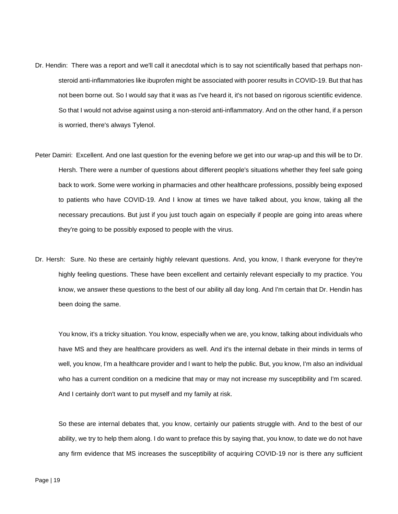- Dr. Hendin: There was a report and we'll call it anecdotal which is to say not scientifically based that perhaps nonsteroid anti-inflammatories like ibuprofen might be associated with poorer results in COVID-19. But that has not been borne out. So I would say that it was as I've heard it, it's not based on rigorous scientific evidence. So that I would not advise against using a non-steroid anti-inflammatory. And on the other hand, if a person is worried, there's always Tylenol.
- Peter Damiri: Excellent. And one last question for the evening before we get into our wrap-up and this will be to Dr. Hersh. There were a number of questions about different people's situations whether they feel safe going back to work. Some were working in pharmacies and other healthcare professions, possibly being exposed to patients who have COVID-19. And I know at times we have talked about, you know, taking all the necessary precautions. But just if you just touch again on especially if people are going into areas where they're going to be possibly exposed to people with the virus.
- Dr. Hersh: Sure. No these are certainly highly relevant questions. And, you know, I thank everyone for they're highly feeling questions. These have been excellent and certainly relevant especially to my practice. You know, we answer these questions to the best of our ability all day long. And I'm certain that Dr. Hendin has been doing the same.

You know, it's a tricky situation. You know, especially when we are, you know, talking about individuals who have MS and they are healthcare providers as well. And it's the internal debate in their minds in terms of well, you know, I'm a healthcare provider and I want to help the public. But, you know, I'm also an individual who has a current condition on a medicine that may or may not increase my susceptibility and I'm scared. And I certainly don't want to put myself and my family at risk.

So these are internal debates that, you know, certainly our patients struggle with. And to the best of our ability, we try to help them along. I do want to preface this by saying that, you know, to date we do not have any firm evidence that MS increases the susceptibility of acquiring COVID-19 nor is there any sufficient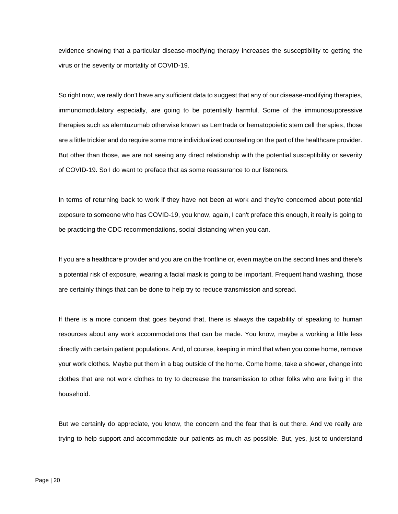evidence showing that a particular disease-modifying therapy increases the susceptibility to getting the virus or the severity or mortality of COVID-19.

So right now, we really don't have any sufficient data to suggest that any of our disease-modifying therapies, immunomodulatory especially, are going to be potentially harmful. Some of the immunosuppressive therapies such as alemtuzumab otherwise known as Lemtrada or hematopoietic stem cell therapies, those are a little trickier and do require some more individualized counseling on the part of the healthcare provider. But other than those, we are not seeing any direct relationship with the potential susceptibility or severity of COVID-19. So I do want to preface that as some reassurance to our listeners.

In terms of returning back to work if they have not been at work and they're concerned about potential exposure to someone who has COVID-19, you know, again, I can't preface this enough, it really is going to be practicing the CDC recommendations, social distancing when you can.

If you are a healthcare provider and you are on the frontline or, even maybe on the second lines and there's a potential risk of exposure, wearing a facial mask is going to be important. Frequent hand washing, those are certainly things that can be done to help try to reduce transmission and spread.

If there is a more concern that goes beyond that, there is always the capability of speaking to human resources about any work accommodations that can be made. You know, maybe a working a little less directly with certain patient populations. And, of course, keeping in mind that when you come home, remove your work clothes. Maybe put them in a bag outside of the home. Come home, take a shower, change into clothes that are not work clothes to try to decrease the transmission to other folks who are living in the household.

But we certainly do appreciate, you know, the concern and the fear that is out there. And we really are trying to help support and accommodate our patients as much as possible. But, yes, just to understand